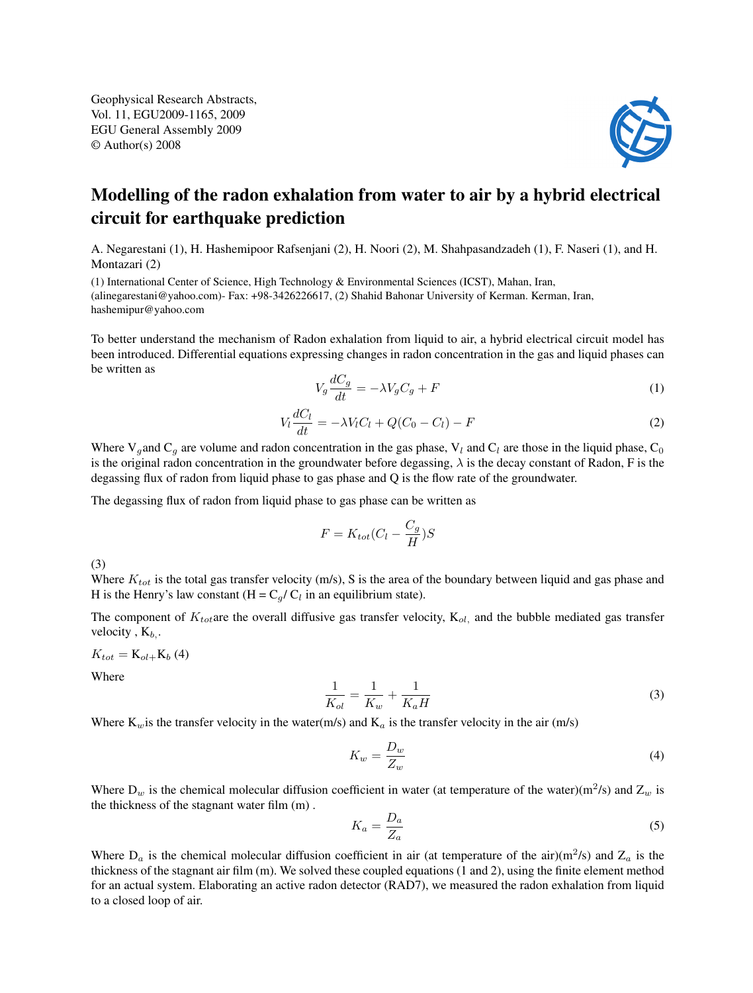Geophysical Research Abstracts, Vol. 11, EGU2009-1165, 2009 EGU General Assembly 2009 © Author(s) 2008



## Modelling of the radon exhalation from water to air by a hybrid electrical circuit for earthquake prediction

A. Negarestani (1), H. Hashemipoor Rafsenjani (2), H. Noori (2), M. Shahpasandzadeh (1), F. Naseri (1), and H. Montazari (2)

(1) International Center of Science, High Technology & Environmental Sciences (ICST), Mahan, Iran, (alinegarestani@yahoo.com)- Fax: +98-3426226617, (2) Shahid Bahonar University of Kerman. Kerman, Iran, hashemipur@yahoo.com

To better understand the mechanism of Radon exhalation from liquid to air, a hybrid electrical circuit model has been introduced. Differential equations expressing changes in radon concentration in the gas and liquid phases can be written as

$$
V_g \frac{dC_g}{dt} = -\lambda V_g C_g + F \tag{1}
$$

$$
V_l \frac{dC_l}{dt} = -\lambda V_l C_l + Q(C_0 - C_l) - F \tag{2}
$$

Where V<sub>g</sub>and C<sub>g</sub> are volume and radon concentration in the gas phase, V<sub>l</sub> and C<sub>l</sub> are those in the liquid phase, C<sub>0</sub> is the original radon concentration in the groundwater before degassing,  $\lambda$  is the decay constant of Radon, F is the degassing flux of radon from liquid phase to gas phase and Q is the flow rate of the groundwater.

The degassing flux of radon from liquid phase to gas phase can be written as

$$
F = K_{tot}(C_l - \frac{C_g}{H})S
$$

(3)

Where  $K_{tot}$  is the total gas transfer velocity (m/s), S is the area of the boundary between liquid and gas phase and H is the Henry's law constant  $(H = C_g / C_l$  in an equilibrium state).

The component of  $K_{tot}$ are the overall diffusive gas transfer velocity,  $K_{ol}$ , and the bubble mediated gas transfer velocity,  $K_b$ .

 $K_{tot} = K_{ol+}K_{b} (4)$ 

Where

$$
\frac{1}{K_{ol}} = \frac{1}{K_w} + \frac{1}{K_a H}
$$
\n(3)

Where  $K_w$  is the transfer velocity in the water(m/s) and  $K_a$  is the transfer velocity in the air (m/s)

$$
K_w = \frac{D_w}{Z_w} \tag{4}
$$

Where  $D_w$  is the chemical molecular diffusion coefficient in water (at temperature of the water)(m<sup>2</sup>/s) and  $Z_w$  is the thickness of the stagnant water film (m) .

$$
K_a = \frac{D_a}{Z_a} \tag{5}
$$

Where  $D_a$  is the chemical molecular diffusion coefficient in air (at temperature of the air)(m<sup>2</sup>/s) and  $Z_a$  is the thickness of the stagnant air film (m). We solved these coupled equations (1 and 2), using the finite element method for an actual system. Elaborating an active radon detector (RAD7), we measured the radon exhalation from liquid to a closed loop of air.